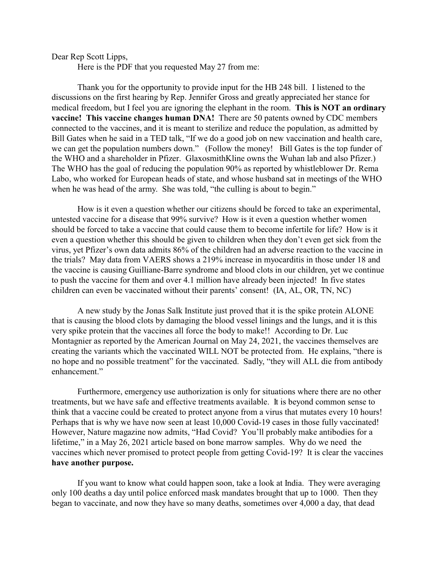Dear Rep Scott Lipps,

Here is the PDF that you requested May 27 from me:

Thank you for the opportunity to provide input for the HB 248 bill. I listened to the discussions on the first hearing by Rep. Jennifer Gross and greatly appreciated her stance for medical freedom, but I feel you are ignoring the elephant in the room. **This is NOT an ordinary vaccine! This vaccine changes human DNA!** There are 50 patents owned by CDC members connected to the vaccines, and it is meant to sterilize and reduce the population, as admitted by Bill Gates when he said in a TED talk, "If we do a good job on new vaccination and health care, we can get the population numbers down." (Follow the money! Bill Gates is the top funder of the WHO and a shareholder in Pfizer. GlaxosmithKline owns the Wuhan lab and also Pfizer.) The WHO has the goal of reducing the population 90% as reported by whistleblower Dr. Rema Labo, who worked for European heads of state, and whose husband sat in meetings of the WHO when he was head of the army. She was told, "the culling is about to begin."

How is it even a question whether our citizens should be forced to take an experimental, untested vaccine for a disease that 99% survive? How is it even a question whether women should be forced to take a vaccine that could cause them to become infertile for life? How is it even a question whether this should be given to children when they don't even get sick from the virus, yet Pfizer's own data admits 86% of the children had an adverse reaction to the vaccine in the trials? May data from VAERS shows a 219% increase in myocarditis in those under 18 and the vaccine is causing Guilliane-Barre syndrome and blood clots in our children, yet we continue to push the vaccine for them and over 4.1 million have already been injected! In five states children can even be vaccinated without their parents' consent! (IA, AL, OR, TN, NC)

A new study by the Jonas Salk Institute just proved that it is the spike protein ALONE that is causing the blood clots by damaging the blood vessel linings and the lungs, and it is this very spike protein that the vaccines all force the body to make!! According to Dr. Luc Montagnier as reported by the American Journal on May 24, 2021, the vaccines themselves are creating the variants which the vaccinated WILL NOT be protected from. He explains, "there is no hope and no possible treatment" for the vaccinated. Sadly, "they will ALL die from antibody enhancement."

Furthermore, emergency use authorization is only for situations where there are no other treatments, but we have safe and effective treatments available. It is beyond common sense to think that a vaccine could be created to protect anyone from a virus that mutates every 10 hours! Perhaps that is why we have now seen at least 10,000 Covid-19 cases in those fully vaccinated! However, Nature magazine now admits, "Had Covid? You'll probably make antibodies for a lifetime," in a May 26, 2021 article based on bone marrow samples. Why do we need the vaccines which never promised to protect people from getting Covid-19? It is clear the vaccines **have another purpose.** 

If you want to know what could happen soon, take a look at India. They were averaging only 100 deaths a day until police enforced mask mandates brought that up to 1000. Then they began to vaccinate, and now they have so many deaths, sometimes over 4,000 a day, that dead